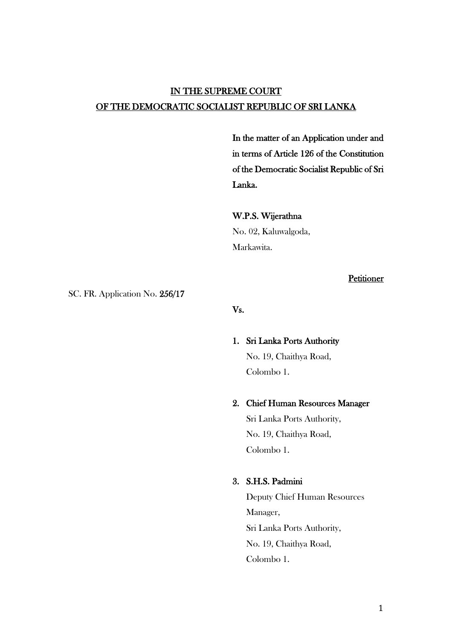# IN THE SUPREME COURT OF THE DEMOCRATIC SOCIALIST REPUBLIC OF SRI LANKA

In the matter of an Application under and in terms of Article 126 of the Constitution of the Democratic Socialist Republic of Sri Lanka.

W.P.S. Wijerathna No. 02, Kaluwalgoda, Markawita.

## **Petitioner**

SC. FR. Application No. 256/17

Vs.

1. Sri Lanka Ports Authority No. 19, Chaithya Road, Colombo 1.

### 2. Chief Human Resources Manager

Sri Lanka Ports Authority, No. 19, Chaithya Road, Colombo 1.

## 3. S.H.S. Padmini

Deputy Chief Human Resources Manager, Sri Lanka Ports Authority, No. 19, Chaithya Road, Colombo 1.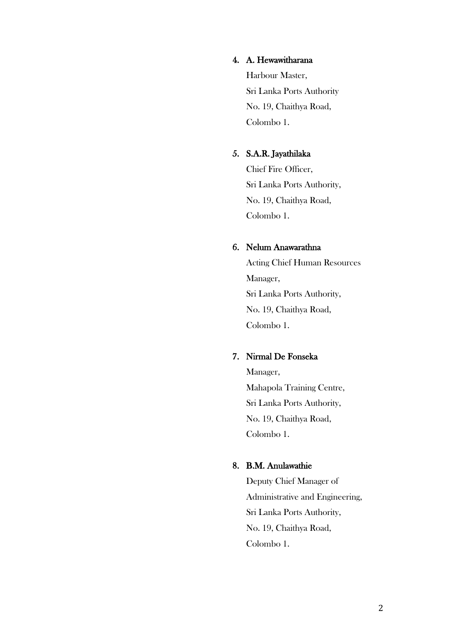## 4. A. Hewawitharana

Harbour Master, Sri Lanka Ports Authority No. 19, Chaithya Road, Colombo 1.

## 5. S.A.R. Jayathilaka

Chief Fire Officer, Sri Lanka Ports Authority, No. 19, Chaithya Road, Colombo 1.

# 6. Nelum Anawarathna

Acting Chief Human Resources Manager, Sri Lanka Ports Authority, No. 19, Chaithya Road, Colombo 1.

## 7. Nirmal De Fonseka

Manager, Mahapola Training Centre, Sri Lanka Ports Authority, No. 19, Chaithya Road, Colombo 1.

## 8. B.M. Anulawathie

Deputy Chief Manager of Administrative and Engineering, Sri Lanka Ports Authority, No. 19, Chaithya Road, Colombo 1.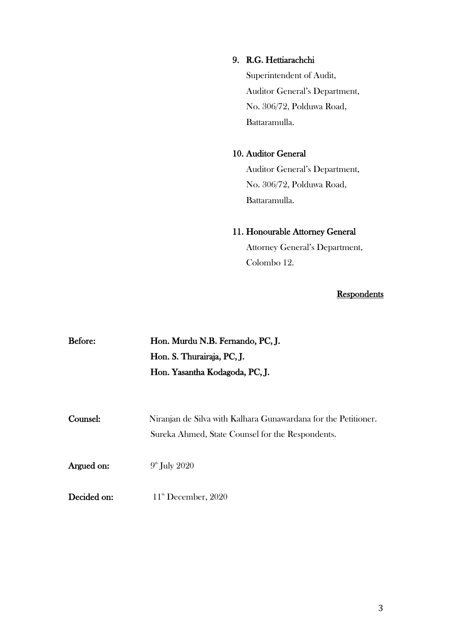## 9. R.G. Hettiarachchi

Superintendent of Audit, Auditor General's Department, No. 306/72, Polduwa Road, Battaramulla.

## 10. Auditor General

Auditor General's Department, No. 306/72, Polduwa Road, Battaramulla.

# 11. Honourable Attorney General

Attorney General's Department, Colombo 12.

# **Respondents**

| Before:     | Hon. Murdu N.B. Fernando, PC, J.                               |
|-------------|----------------------------------------------------------------|
|             | Hon. S. Thurairaja, PC, J.                                     |
|             | Hon. Yasantha Kodagoda, PC, J.                                 |
|             |                                                                |
| Counsel:    | Niranjan de Silva with Kalhara Gunawardana for the Petitioner. |
|             | Sureka Ahmed, State Counsel for the Respondents.               |
| Argued on:  | $9th$ July 2020                                                |
| Decided on: | $11th$ December, 2020                                          |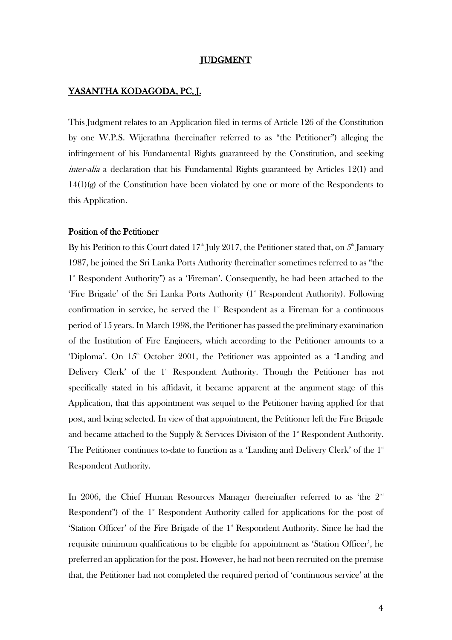#### JUDGMENT

## YASANTHA KODAGODA, PC, J.

This Judgment relates to an Application filed in terms of Article 126 of the Constitution by one W.P.S. Wijerathna (hereinafter referred to as "the Petitioner") alleging the infringement of his Fundamental Rights guaranteed by the Constitution, and seeking inter-alia a declaration that his Fundamental Rights guaranteed by Articles 12(1) and 14(1)(g) of the Constitution have been violated by one or more of the Respondents to this Application.

### Position of the Petitioner

By his Petition to this Court dated 17<sup>th</sup> July 2017, the Petitioner stated that, on  $5^{\text{th}}$  January 1987, he joined the Sri Lanka Ports Authority (hereinafter sometimes referred to as "the 1<sup>\*</sup> Respondent Authority") as a 'Fireman'. Consequently, he had been attached to the 'Fire Brigade' of the Sri Lanka Ports Authority (1<sup>\*</sup> Respondent Authority). Following confirmation in service, he served the  $1<sup>*</sup>$  Respondent as a Fireman for a continuous period of 15 years. In March 1998, the Petitioner has passed the preliminary examination of the Institution of Fire Engineers, which according to the Petitioner amounts to a 'Diploma'. On  $15<sup>th</sup>$  October 2001, the Petitioner was appointed as a 'Landing and Delivery Clerk' of the  $1^*$  Respondent Authority. Though the Petitioner has not specifically stated in his affidavit, it became apparent at the argument stage of this Application, that this appointment was sequel to the Petitioner having applied for that post, and being selected. In view of that appointment, the Petitioner left the Fire Brigade and became attached to the Supply & Services Division of the  $1^*$  Respondent Authority. The Petitioner continues to-date to function as a 'Landing and Delivery Clerk' of the  $1<sup>*</sup>$ Respondent Authority.

In 2006, the Chief Human Resources Manager (hereinafter referred to as 'the  $2^{nd}$ Respondent") of the  $1$ <sup>\*</sup> Respondent Authority called for applications for the post of 'Station Officer' of the Fire Brigade of the  $1$ <sup>st</sup> Respondent Authority. Since he had the requisite minimum qualifications to be eligible for appointment as 'Station Officer', he preferred an application for the post. However, he had not been recruited on the premise that, the Petitioner had not completed the required period of 'continuous service' at the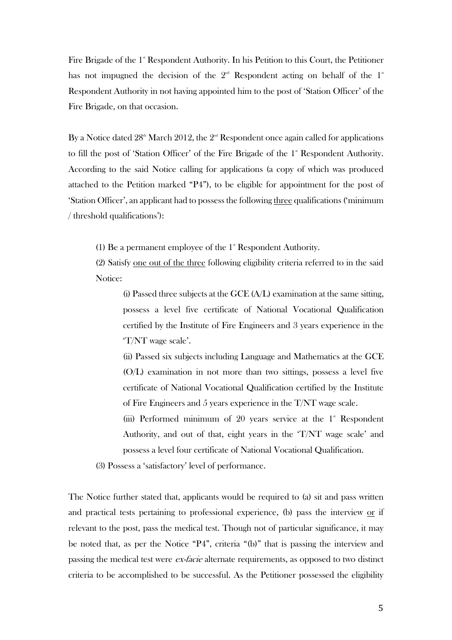Fire Brigade of the  $1^*$  Respondent Authority. In his Petition to this Court, the Petitioner has not impugned the decision of the  $2<sup>nd</sup>$  Respondent acting on behalf of the  $1<sup>*</sup>$ Respondent Authority in not having appointed him to the post of 'Station Officer' of the Fire Brigade, on that occasion.

By a Notice dated  $28<sup>th</sup>$  March 2012, the  $2<sup>nd</sup>$  Respondent once again called for applications to fill the post of 'Station Officer' of the Fire Brigade of the 1<sup>st</sup> Respondent Authority. According to the said Notice calling for applications (a copy of which was produced attached to the Petition marked "P4"), to be eligible for appointment for the post of 'Station Officer', an applicant had to possess the following three qualifications ('minimum / threshold qualifications'):

(1) Be a permanent employee of the  $1$ <sup>\*</sup> Respondent Authority.

(2) Satisfy one out of the three following eligibility criteria referred to in the said Notice:

(i) Passed three subjects at the GCE  $(A/L)$  examination at the same sitting, possess a level five certificate of National Vocational Qualification certified by the Institute of Fire Engineers and 3 years experience in the 'T/NT wage scale'.

(ii) Passed six subjects including Language and Mathematics at the GCE (O/L) examination in not more than two sittings, possess a level five certificate of National Vocational Qualification certified by the Institute of Fire Engineers and 5 years experience in the  $T/NT$  wage scale.

(iii) Performed minimum of 20 years service at the  $1^*$  Respondent Authority, and out of that, eight years in the 'T/NT wage scale' and possess a level four certificate of National Vocational Qualification.

(3) Possess a 'satisfactory' level of performance.

The Notice further stated that, applicants would be required to (a) sit and pass written and practical tests pertaining to professional experience, (b) pass the interview or if relevant to the post, pass the medical test. Though not of particular significance, it may be noted that, as per the Notice "P4", criteria "(b)" that is passing the interview and passing the medical test were *ex-facie* alternate requirements, as opposed to two distinct criteria to be accomplished to be successful. As the Petitioner possessed the eligibility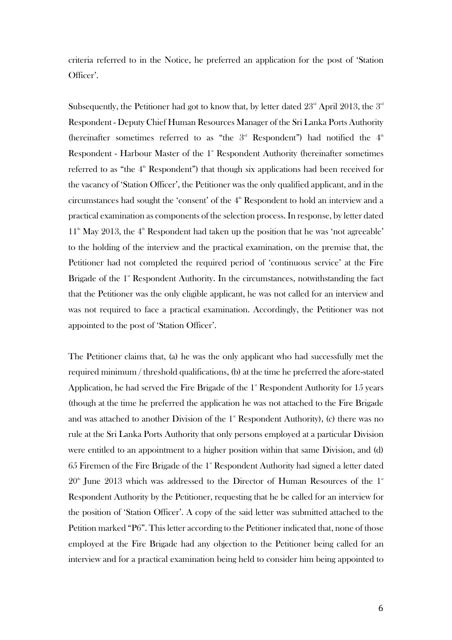criteria referred to in the Notice, he preferred an application for the post of 'Station Officer'.

Subsequently, the Petitioner had got to know that, by letter dated  $23^{\scriptscriptstyle \rm nd}$  April  $2013$ , the  $3^{\scriptscriptstyle \rm nd}$ Respondent - Deputy Chief Human Resources Manager of the Sri Lanka Ports Authority (hereinafter sometimes referred to as "the  $3<sup>rd</sup>$  Respondent") had notified the  $4<sup>th</sup>$ Respondent - Harbour Master of the  $1^s$  Respondent Authority (hereinafter sometimes referred to as "the 4<sup>th</sup> Respondent") that though six applications had been received for the vacancy of 'Station Officer', the Petitioner was the only qualified applicant, and in the circumstances had sought the 'consent' of the  $4<sup>th</sup>$  Respondent to hold an interview and a practical examination as components of the selection process. In response, by letter dated  $11<sup>th</sup>$  May 2013, the  $4<sup>th</sup>$  Respondent had taken up the position that he was 'not agreeable' to the holding of the interview and the practical examination, on the premise that, the Petitioner had not completed the required period of 'continuous service' at the Fire Brigade of the  $1^{\circ}$  Respondent Authority. In the circumstances, notwithstanding the fact that the Petitioner was the only eligible applicant, he was not called for an interview and was not required to face a practical examination. Accordingly, the Petitioner was not appointed to the post of 'Station Officer'.

The Petitioner claims that, (a) he was the only applicant who had successfully met the required minimum / threshold qualifications, (b) at the time he preferred the afore-stated Application, he had served the Fire Brigade of the  $1<sup>*</sup>$  Respondent Authority for  $15$  years (though at the time he preferred the application he was not attached to the Fire Brigade and was attached to another Division of the  $1<sup>*</sup>$  Respondent Authority), (c) there was no rule at the Sri Lanka Ports Authority that only persons employed at a particular Division were entitled to an appointment to a higher position within that same Division, and (d) 65 Firemen of the Fire Brigade of the  $1^{\circ}$  Respondent Authority had signed a letter dated  $20<sup>th</sup>$  June 2013 which was addressed to the Director of Human Resources of the  $1<sup>st</sup>$ Respondent Authority by the Petitioner, requesting that he be called for an interview for the position of 'Station Officer'. A copy of the said letter was submitted attached to the Petition marked "P6". This letter according to the Petitioner indicated that, none of those employed at the Fire Brigade had any objection to the Petitioner being called for an interview and for a practical examination being held to consider him being appointed to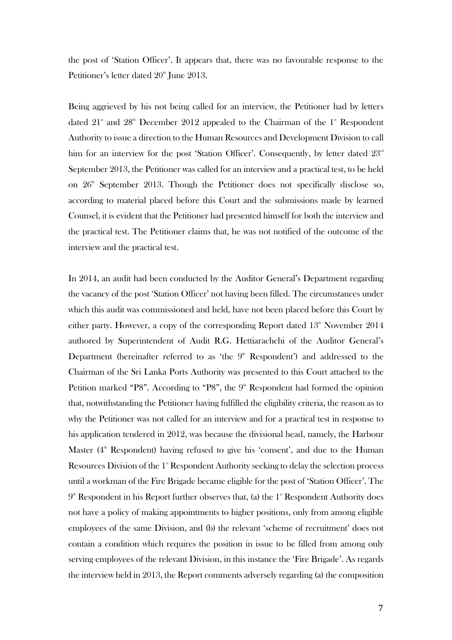the post of 'Station Officer'. It appears that, there was no favourable response to the Petitioner's letter dated 20<sup>th</sup> June 2013.

Being aggrieved by his not being called for an interview, the Petitioner had by letters dated  $21^*$  and  $28^{\text{th}}$  December 2012 appealed to the Chairman of the  $1^*$  Respondent Authority to issue a direction to the Human Resources and Development Division to call him for an interview for the post 'Station Officer'. Consequently, by letter dated  $23<sup>rd</sup>$ September 2013, the Petitioner was called for an interview and a practical test, to be held on  $26<sup>th</sup>$  September 2013. Though the Petitioner does not specifically disclose so, according to material placed before this Court and the submissions made by learned Counsel, it is evident that the Petitioner had presented himself for both the interview and the practical test. The Petitioner claims that, he was not notified of the outcome of the interview and the practical test.

In 2014, an audit had been conducted by the Auditor General's Department regarding the vacancy of the post 'Station Officer' not having been filled. The circumstances under which this audit was commissioned and held, have not been placed before this Court by either party. However, a copy of the corresponding Report dated  $13<sup>th</sup>$  November 2014 authored by Superintendent of Audit R.G. Hettiarachchi of the Auditor General's Department (hereinafter referred to as 'the  $9<sup>th</sup>$  Respondent') and addressed to the Chairman of the Sri Lanka Ports Authority was presented to this Court attached to the Petition marked "P8". According to "P8", the  $9<sup>th</sup>$  Respondent had formed the opinion that, notwithstanding the Petitioner having fulfilled the eligibility criteria, the reason as to why the Petitioner was not called for an interview and for a practical test in response to his application tendered in 2012, was because the divisional head, namely, the Harbour Master  $(4<sup>th</sup>$  Respondent) having refused to give his 'consent', and due to the Human Resources Division of the 1<sup>st</sup> Respondent Authority seeking to delay the selection process until a workman of the Fire Brigade became eligible for the post of 'Station Officer'. The  $9<sup>th</sup>$  Respondent in his Report further observes that, (a) the  $1<sup>st</sup>$  Respondent Authority does not have a policy of making appointments to higher positions, only from among eligible employees of the same Division, and (b) the relevant 'scheme of recruitment' does not contain a condition which requires the position in issue to be filled from among only serving employees of the relevant Division, in this instance the 'Fire Brigade'. As regards the interview held in 2013, the Report comments adversely regarding (a) the composition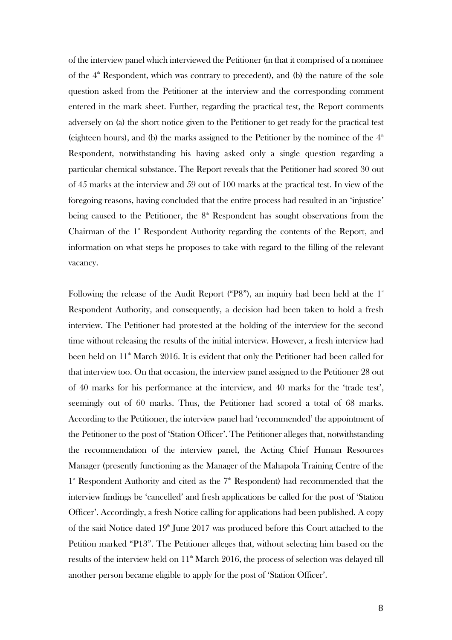of the interview panel which interviewed the Petitioner (in that it comprised of a nominee of the  $4<sup>th</sup>$  Respondent, which was contrary to precedent), and (b) the nature of the sole question asked from the Petitioner at the interview and the corresponding comment entered in the mark sheet. Further, regarding the practical test, the Report comments adversely on (a) the short notice given to the Petitioner to get ready for the practical test (eighteen hours), and (b) the marks assigned to the Petitioner by the nominee of the  $4<sup>th</sup>$ Respondent, notwithstanding his having asked only a single question regarding a particular chemical substance. The Report reveals that the Petitioner had scored 30 out of 45 marks at the interview and 59 out of 100 marks at the practical test. In view of the foregoing reasons, having concluded that the entire process had resulted in an 'injustice' being caused to the Petitioner, the  $8<sup>th</sup>$  Respondent has sought observations from the Chairman of the  $1<sup>*</sup>$  Respondent Authority regarding the contents of the Report, and information on what steps he proposes to take with regard to the filling of the relevant vacancy.

Following the release of the Audit Report ("P8"), an inquiry had been held at the  $1^*$ Respondent Authority, and consequently, a decision had been taken to hold a fresh interview. The Petitioner had protested at the holding of the interview for the second time without releasing the results of the initial interview. However, a fresh interview had been held on  $11^{\text{th}}$  March 2016. It is evident that only the Petitioner had been called for that interview too. On that occasion, the interview panel assigned to the Petitioner 28 out of 40 marks for his performance at the interview, and 40 marks for the 'trade test', seemingly out of 60 marks. Thus, the Petitioner had scored a total of 68 marks. According to the Petitioner, the interview panel had 'recommended' the appointment of the Petitioner to the post of 'Station Officer'. The Petitioner alleges that, notwithstanding the recommendation of the interview panel, the Acting Chief Human Resources Manager (presently functioning as the Manager of the Mahapola Training Centre of the 1<sup>\*</sup> Respondent Authority and cited as the 7<sup>\*</sup> Respondent) had recommended that the interview findings be 'cancelled' and fresh applications be called for the post of 'Station Officer'. Accordingly, a fresh Notice calling for applications had been published. A copy of the said Notice dated  $19<sup>th</sup>$  June 2017 was produced before this Court attached to the Petition marked "P13". The Petitioner alleges that, without selecting him based on the results of the interview held on  $11<sup>th</sup>$  March 2016, the process of selection was delayed till another person became eligible to apply for the post of 'Station Officer'.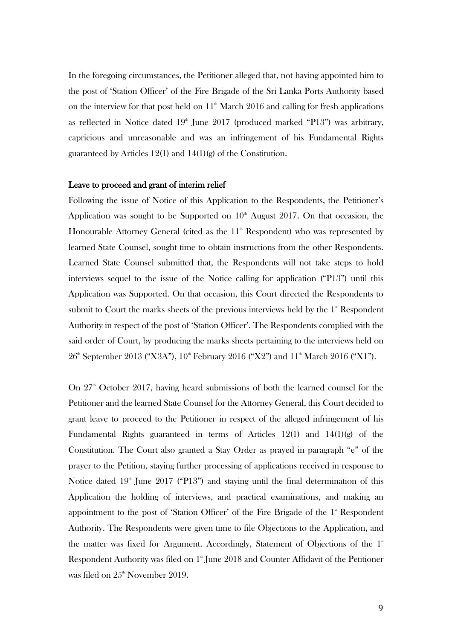In the foregoing circumstances, the Petitioner alleged that, not having appointed him to the post of 'Station Officer' of the Fire Brigade of the Sri Lanka Ports Authority based on the interview for that post held on  $11<sup>th</sup>$  March 2016 and calling for fresh applications as reflected in Notice dated  $19<sup>th</sup>$  June 2017 (produced marked "P13") was arbitrary, capricious and unreasonable and was an infringement of his Fundamental Rights guaranteed by Articles 12(1) and 14(1)(g) of the Constitution.

#### Leave to proceed and grant of interim relief

Following the issue of Notice of this Application to the Respondents, the Petitioner's Application was sought to be Supported on  $10<sup>th</sup>$  August 2017. On that occasion, the Honourable Attorney General (cited as the  $11<sup>th</sup>$  Respondent) who was represented by learned State Counsel, sought time to obtain instructions from the other Respondents. Learned State Counsel submitted that, the Respondents will not take steps to hold interviews sequel to the issue of the Notice calling for application ("P13") until this Application was Supported. On that occasion, this Court directed the Respondents to submit to Court the marks sheets of the previous interviews held by the  $1$ <sup>\*</sup> Respondent Authority in respect of the post of 'Station Officer'. The Respondents complied with the said order of Court, by producing the marks sheets pertaining to the interviews held on  $26<sup>th</sup>$  September 2013 ("X3A"),  $10<sup>th</sup>$  February 2016 ("X2") and  $11<sup>th</sup>$  March 2016 ("X1").

On  $27<sup>th</sup>$  October 2017, having heard submissions of both the learned counsel for the Petitioner and the learned State Counsel for the Attorney General, this Court decided to grant leave to proceed to the Petitioner in respect of the alleged infringement of his Fundamental Rights guaranteed in terms of Articles 12(1) and 14(1)(g) of the Constitution. The Court also granted a Stay Order as prayed in paragraph "e" of the prayer to the Petition, staying further processing of applications received in response to Notice dated  $19^{\text{th}}$  June 2017 ("P13") and staying until the final determination of this Application the holding of interviews, and practical examinations, and making an appointment to the post of 'Station Officer' of the Fire Brigade of the  $1$ <sup>s</sup> Respondent Authority. The Respondents were given time to file Objections to the Application, and the matter was fixed for Argument. Accordingly, Statement of Objections of the  $1<sup>*</sup>$ Respondent Authority was filed on  $1^{\circ}$  June 2018 and Counter Affidavit of the Petitioner was filed on  $25^{\text{th}}$  November 2019.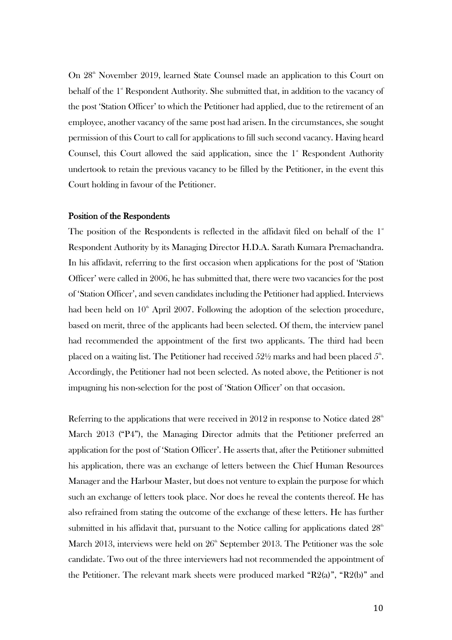On 28<sup>th</sup> November 2019, learned State Counsel made an application to this Court on behalf of the 1<sup>st</sup> Respondent Authority. She submitted that, in addition to the vacancy of the post 'Station Officer' to which the Petitioner had applied, due to the retirement of an employee, another vacancy of the same post had arisen. In the circumstances, she sought permission of this Court to call for applications to fill such second vacancy. Having heard Counsel, this Court allowed the said application, since the  $1<sup>*</sup>$  Respondent Authority undertook to retain the previous vacancy to be filled by the Petitioner, in the event this Court holding in favour of the Petitioner.

#### Position of the Respondents

The position of the Respondents is reflected in the affidavit filed on behalf of the  $1<sup>*</sup>$ Respondent Authority by its Managing Director H.D.A. Sarath Kumara Premachandra. In his affidavit, referring to the first occasion when applications for the post of 'Station Officer' were called in 2006, he has submitted that, there were two vacancies for the post of 'Station Officer', and seven candidates including the Petitioner had applied. Interviews had been held on  $10<sup>th</sup>$  April 2007. Following the adoption of the selection procedure, based on merit, three of the applicants had been selected. Of them, the interview panel had recommended the appointment of the first two applicants. The third had been placed on a waiting list. The Petitioner had received  $52\%$  marks and had been placed  $5\mathrm{^a}.$ Accordingly, the Petitioner had not been selected. As noted above, the Petitioner is not impugning his non-selection for the post of 'Station Officer' on that occasion.

Referring to the applications that were received in 2012 in response to Notice dated  $28<sup>th</sup>$ March 2013 ("P4"), the Managing Director admits that the Petitioner preferred an application for the post of 'Station Officer'. He asserts that, after the Petitioner submitted his application, there was an exchange of letters between the Chief Human Resources Manager and the Harbour Master, but does not venture to explain the purpose for which such an exchange of letters took place. Nor does he reveal the contents thereof. He has also refrained from stating the outcome of the exchange of these letters. He has further submitted in his affidavit that, pursuant to the Notice calling for applications dated  $28<sup>th</sup>$ March 2013, interviews were held on  $26<sup>th</sup>$  September 2013. The Petitioner was the sole candidate. Two out of the three interviewers had not recommended the appointment of the Petitioner. The relevant mark sheets were produced marked "R2(a)", "R2(b)" and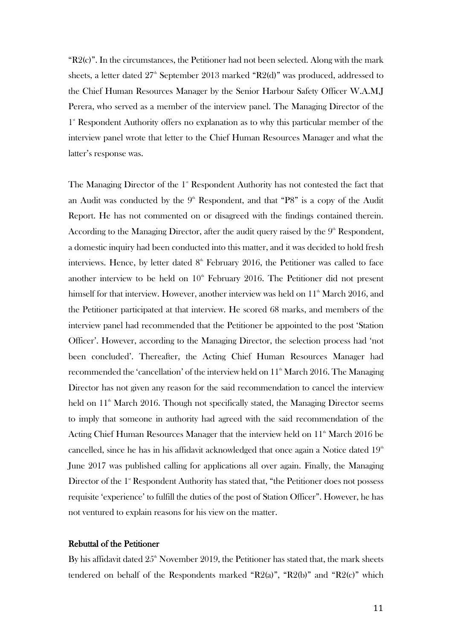$R2(c)$ ". In the circumstances, the Petitioner had not been selected. Along with the mark sheets, a letter dated  $27<sup>th</sup>$  September 2013 marked "R2(d)" was produced, addressed to the Chief Human Resources Manager by the Senior Harbour Safety Officer W.A.M.J Perera, who served as a member of the interview panel. The Managing Director of the 1<sup>\*</sup> Respondent Authority offers no explanation as to why this particular member of the interview panel wrote that letter to the Chief Human Resources Manager and what the latter's response was.

The Managing Director of the  $1<sup>*</sup>$  Respondent Authority has not contested the fact that an Audit was conducted by the  $9<sup>th</sup>$  Respondent, and that "P8" is a copy of the Audit Report. He has not commented on or disagreed with the findings contained therein. According to the Managing Director, after the audit query raised by the  $9<sup>th</sup>$  Respondent, a domestic inquiry had been conducted into this matter, and it was decided to hold fresh interviews. Hence, by letter dated  $8<sup>th</sup>$  February 2016, the Petitioner was called to face another interview to be held on  $10<sup>th</sup>$  February 2016. The Petitioner did not present himself for that interview. However, another interview was held on  $11<sup>th</sup>$  March 2016, and the Petitioner participated at that interview. He scored 68 marks, and members of the interview panel had recommended that the Petitioner be appointed to the post 'Station Officer'. However, according to the Managing Director, the selection process had 'not been concluded'. Thereafter, the Acting Chief Human Resources Manager had recommended the 'cancellation' of the interview held on  $11<sup>th</sup>$  March 2016. The Managing Director has not given any reason for the said recommendation to cancel the interview held on  $11<sup>th</sup>$  March 2016. Though not specifically stated, the Managing Director seems to imply that someone in authority had agreed with the said recommendation of the Acting Chief Human Resources Manager that the interview held on 11<sup>th</sup> March 2016 be cancelled, since he has in his affidavit acknowledged that once again a Notice dated  $19<sup>th</sup>$ June 2017 was published calling for applications all over again. Finally, the Managing Director of the 1<sup>st</sup> Respondent Authority has stated that, "the Petitioner does not possess requisite 'experience' to fulfill the duties of the post of Station Officer". However, he has not ventured to explain reasons for his view on the matter.

### Rebuttal of the Petitioner

By his affidavit dated  $25<sup>th</sup>$  November 2019, the Petitioner has stated that, the mark sheets tendered on behalf of the Respondents marked "R2(a)", "R2(b)" and "R2(c)" which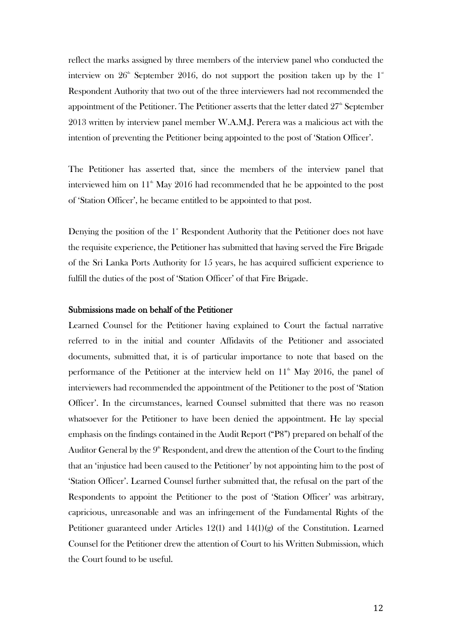reflect the marks assigned by three members of the interview panel who conducted the interview on  $26<sup>th</sup>$  September 2016, do not support the position taken up by the  $1<sup>st</sup>$ Respondent Authority that two out of the three interviewers had not recommended the appointment of the Petitioner. The Petitioner asserts that the letter dated  $27<sup>th</sup>$  September 2013 written by interview panel member W.A.M.J. Perera was a malicious act with the intention of preventing the Petitioner being appointed to the post of 'Station Officer'.

The Petitioner has asserted that, since the members of the interview panel that interviewed him on  $11<sup>th</sup>$  May 2016 had recommended that he be appointed to the post of 'Station Officer', he became entitled to be appointed to that post.

Denying the position of the  $1$ <sup>st</sup> Respondent Authority that the Petitioner does not have the requisite experience, the Petitioner has submitted that having served the Fire Brigade of the Sri Lanka Ports Authority for 15 years, he has acquired sufficient experience to fulfill the duties of the post of 'Station Officer' of that Fire Brigade.

### Submissions made on behalf of the Petitioner

Learned Counsel for the Petitioner having explained to Court the factual narrative referred to in the initial and counter Affidavits of the Petitioner and associated documents, submitted that, it is of particular importance to note that based on the performance of the Petitioner at the interview held on  $11<sup>th</sup>$  May 2016, the panel of interviewers had recommended the appointment of the Petitioner to the post of 'Station Officer'. In the circumstances, learned Counsel submitted that there was no reason whatsoever for the Petitioner to have been denied the appointment. He lay special emphasis on the findings contained in the Audit Report ("P8") prepared on behalf of the Auditor General by the  $9^{\text{th}}$  Respondent, and drew the attention of the Court to the finding that an 'injustice had been caused to the Petitioner' by not appointing him to the post of 'Station Officer'. Learned Counsel further submitted that, the refusal on the part of the Respondents to appoint the Petitioner to the post of 'Station Officer' was arbitrary, capricious, unreasonable and was an infringement of the Fundamental Rights of the Petitioner guaranteed under Articles 12(1) and 14(1)(g) of the Constitution. Learned Counsel for the Petitioner drew the attention of Court to his Written Submission, which the Court found to be useful.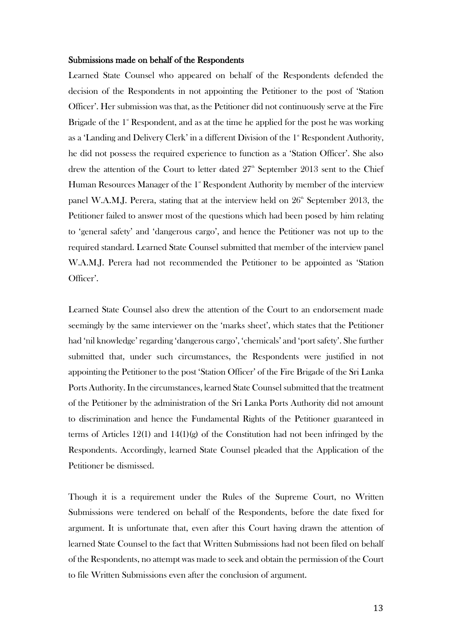#### Submissions made on behalf of the Respondents

Learned State Counsel who appeared on behalf of the Respondents defended the decision of the Respondents in not appointing the Petitioner to the post of 'Station Officer'. Her submission was that, as the Petitioner did not continuously serve at the Fire Brigade of the 1<sup>st</sup> Respondent, and as at the time he applied for the post he was working as a 'Landing and Delivery Clerk' in a different Division of the  $1<sup>*</sup>$  Respondent Authority, he did not possess the required experience to function as a 'Station Officer'. She also drew the attention of the Court to letter dated  $27<sup>th</sup>$  September 2013 sent to the Chief Human Resources Manager of the  $1<sup>*</sup>$  Respondent Authority by member of the interview panel W.A.M.J. Perera, stating that at the interview held on  $26<sup>th</sup>$  September 2013, the Petitioner failed to answer most of the questions which had been posed by him relating to 'general safety' and 'dangerous cargo', and hence the Petitioner was not up to the required standard. Learned State Counsel submitted that member of the interview panel W.A.M.J. Perera had not recommended the Petitioner to be appointed as 'Station Officer'.

Learned State Counsel also drew the attention of the Court to an endorsement made seemingly by the same interviewer on the 'marks sheet', which states that the Petitioner had 'nil knowledge' regarding 'dangerous cargo', 'chemicals' and 'port safety'. She further submitted that, under such circumstances, the Respondents were justified in not appointing the Petitioner to the post 'Station Officer' of the Fire Brigade of the Sri Lanka Ports Authority. In the circumstances, learned State Counsel submitted that the treatment of the Petitioner by the administration of the Sri Lanka Ports Authority did not amount to discrimination and hence the Fundamental Rights of the Petitioner guaranteed in terms of Articles 12(1) and 14(1)(g) of the Constitution had not been infringed by the Respondents. Accordingly, learned State Counsel pleaded that the Application of the Petitioner be dismissed.

Though it is a requirement under the Rules of the Supreme Court, no Written Submissions were tendered on behalf of the Respondents, before the date fixed for argument. It is unfortunate that, even after this Court having drawn the attention of learned State Counsel to the fact that Written Submissions had not been filed on behalf of the Respondents, no attempt was made to seek and obtain the permission of the Court to file Written Submissions even after the conclusion of argument.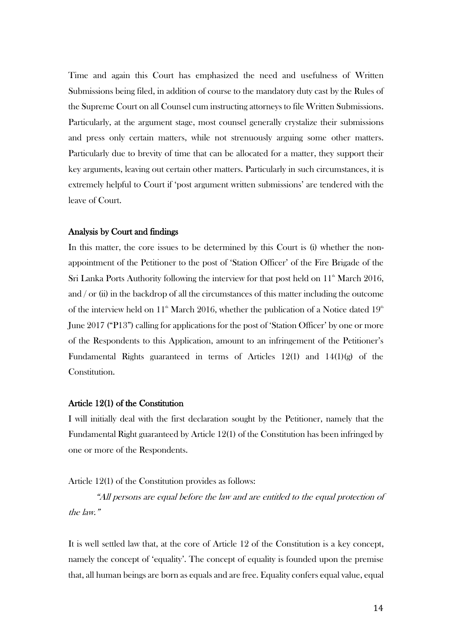Time and again this Court has emphasized the need and usefulness of Written Submissions being filed, in addition of course to the mandatory duty cast by the Rules of the Supreme Court on all Counsel cum instructing attorneys to file Written Submissions. Particularly, at the argument stage, most counsel generally crystalize their submissions and press only certain matters, while not strenuously arguing some other matters. Particularly due to brevity of time that can be allocated for a matter, they support their key arguments, leaving out certain other matters. Particularly in such circumstances, it is extremely helpful to Court if 'post argument written submissions' are tendered with the leave of Court.

#### Analysis by Court and findings

In this matter, the core issues to be determined by this Court is (i) whether the nonappointment of the Petitioner to the post of 'Station Officer' of the Fire Brigade of the Sri Lanka Ports Authority following the interview for that post held on  $11<sup>th</sup>$  March 2016, and / or (ii) in the backdrop of all the circumstances of this matter including the outcome of the interview held on  $11^{\text{th}}$  March 2016, whether the publication of a Notice dated  $19^{\text{th}}$ June 2017 ("P13") calling for applications for the post of 'Station Officer' by one or more of the Respondents to this Application, amount to an infringement of the Petitioner's Fundamental Rights guaranteed in terms of Articles 12(1) and  $14(1)(g)$  of the Constitution.

### Article 12(1) of the Constitution

I will initially deal with the first declaration sought by the Petitioner, namely that the Fundamental Right guaranteed by Article 12(1) of the Constitution has been infringed by one or more of the Respondents.

Article 12(1) of the Constitution provides as follows:

"All persons are equal before the law and are entitled to the equal protection of the law."

It is well settled law that, at the core of Article 12 of the Constitution is a key concept, namely the concept of 'equality'. The concept of equality is founded upon the premise that, all human beings are born as equals and are free. Equality confers equal value, equal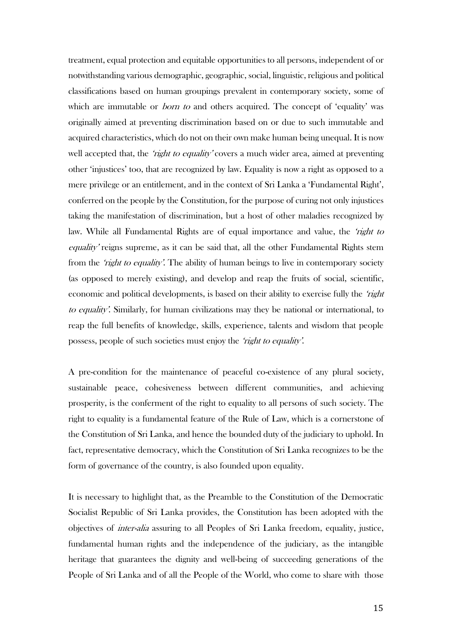treatment, equal protection and equitable opportunities to all persons, independent of or notwithstanding various demographic, geographic, social, linguistic, religious and political classifications based on human groupings prevalent in contemporary society, some of which are immutable or *born to* and others acquired. The concept of 'equality' was originally aimed at preventing discrimination based on or due to such immutable and acquired characteristics, which do not on their own make human being unequal. It is now well accepted that, the 'right to equality' covers a much wider area, aimed at preventing other 'injustices' too, that are recognized by law. Equality is now a right as opposed to a mere privilege or an entitlement, and in the context of Sri Lanka a 'Fundamental Right', conferred on the people by the Constitution, for the purpose of curing not only injustices taking the manifestation of discrimination, but a host of other maladies recognized by law. While all Fundamental Rights are of equal importance and value, the 'right to equality' reigns supreme, as it can be said that, all the other Fundamental Rights stem from the *'right to equality'*. The ability of human beings to live in contemporary society (as opposed to merely existing), and develop and reap the fruits of social, scientific, economic and political developments, is based on their ability to exercise fully the 'right to equality'. Similarly, for human civilizations may they be national or international, to reap the full benefits of knowledge, skills, experience, talents and wisdom that people possess, people of such societies must enjoy the 'right to equality'.

A pre-condition for the maintenance of peaceful co-existence of any plural society, sustainable peace, cohesiveness between different communities, and achieving prosperity, is the conferment of the right to equality to all persons of such society. The right to equality is a fundamental feature of the Rule of Law, which is a cornerstone of the Constitution of Sri Lanka, and hence the bounded duty of the judiciary to uphold. In fact, representative democracy, which the Constitution of Sri Lanka recognizes to be the form of governance of the country, is also founded upon equality.

It is necessary to highlight that, as the Preamble to the Constitution of the Democratic Socialist Republic of Sri Lanka provides, the Constitution has been adopted with the objectives of inter-alia assuring to all Peoples of Sri Lanka freedom, equality, justice, fundamental human rights and the independence of the judiciary, as the intangible heritage that guarantees the dignity and well-being of succeeding generations of the People of Sri Lanka and of all the People of the World, who come to share with those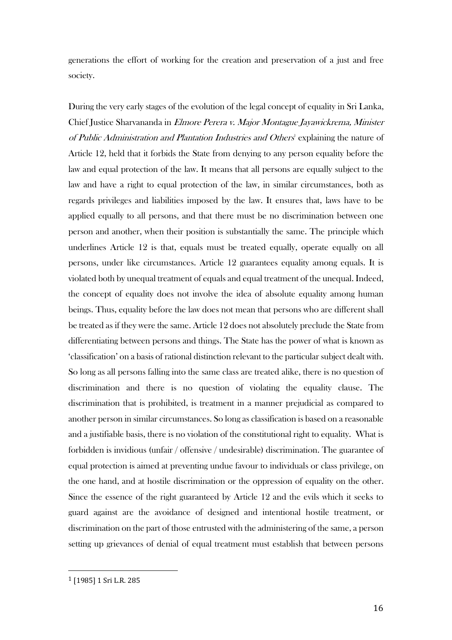generations the effort of working for the creation and preservation of a just and free society.

During the very early stages of the evolution of the legal concept of equality in Sri Lanka, Chief Justice Sharvananda in Elmore Perera v. Major Montague Jayawickrema, Minister of Public Administration and Plantation Industries and Others' explaining the nature of Article 12, held that it forbids the State from denying to any person equality before the law and equal protection of the law. It means that all persons are equally subject to the law and have a right to equal protection of the law, in similar circumstances, both as regards privileges and liabilities imposed by the law. It ensures that, laws have to be applied equally to all persons, and that there must be no discrimination between one person and another, when their position is substantially the same. The principle which underlines Article 12 is that, equals must be treated equally, operate equally on all persons, under like circumstances. Article 12 guarantees equality among equals. It is violated both by unequal treatment of equals and equal treatment of the unequal. Indeed, the concept of equality does not involve the idea of absolute equality among human beings. Thus, equality before the law does not mean that persons who are different shall be treated as if they were the same. Article 12 does not absolutely preclude the State from differentiating between persons and things. The State has the power of what is known as 'classification' on a basis of rational distinction relevant to the particular subject dealt with. So long as all persons falling into the same class are treated alike, there is no question of discrimination and there is no question of violating the equality clause. The discrimination that is prohibited, is treatment in a manner prejudicial as compared to another person in similar circumstances. So long as classification is based on a reasonable and a justifiable basis, there is no violation of the constitutional right to equality. What is forbidden is invidious (unfair / offensive / undesirable) discrimination. The guarantee of equal protection is aimed at preventing undue favour to individuals or class privilege, on the one hand, and at hostile discrimination or the oppression of equality on the other. Since the essence of the right guaranteed by Article 12 and the evils which it seeks to guard against are the avoidance of designed and intentional hostile treatment, or discrimination on the part of those entrusted with the administering of the same, a person setting up grievances of denial of equal treatment must establish that between persons

<sup>1</sup> [1985] 1 Sri L.R. 285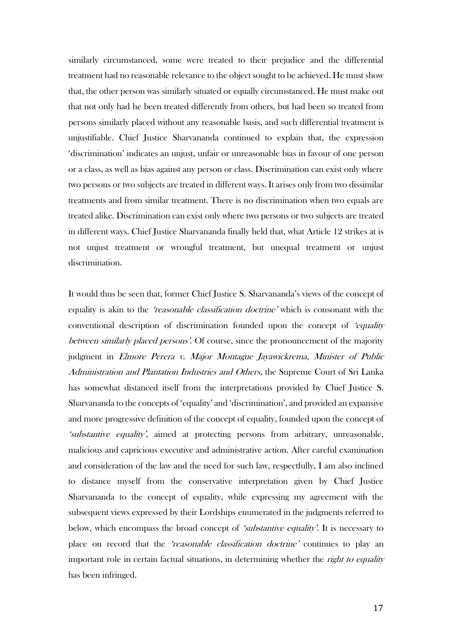similarly circumstanced, some were treated to their prejudice and the differential treatment had no reasonable relevance to the object sought to be achieved. He must show that, the other person was similarly situated or equally circumstanced. He must make out that not only had he been treated differently from others, but had been so treated from persons similarly placed without any reasonable basis, and such differential treatment is unjustifiable. Chief Justice Sharvananda continued to explain that, the expression 'discrimination' indicates an unjust, unfair or unreasonable bias in favour of one person or a class, as well as bias against any person or class. Discrimination can exist only where two persons or two subjects are treated in different ways. It arises only from two dissimilar treatments and from similar treatment. There is no discrimination when two equals are treated alike. Discrimination can exist only where two persons or two subjects are treated in different ways. Chief Justice Sharvananda finally held that, what Article 12 strikes at is not unjust treatment or wrongful treatment, but unequal treatment or unjust discrimination.

It would thus be seen that, former Chief Justice S. Sharvananda's views of the concept of equality is akin to the *'reasonable classification doctrine'* which is consonant with the conventional description of discrimination founded upon the concept of 'equality between similarly placed persons'. Of course, since the pronouncement of the majority judgment in Elmore Perera v. Major Montague Jayawickrema, Minister of Public Administration and Plantation Industries and Others, the Supreme Court of Sri Lanka has somewhat distanced itself from the interpretations provided by Chief Justice S. Sharvananda to the concepts of 'equality' and 'discrimination', and provided an expansive and more progressive definition of the concept of equality, founded upon the concept of 'substantive equality', aimed at protecting persons from arbitrary, unreasonable, malicious and capricious executive and administrative action. After careful examination and consideration of the law and the need for such law, respectfully, I am also inclined to distance myself from the conservative interpretation given by Chief Justice Sharvananda to the concept of equality, while expressing my agreement with the subsequent views expressed by their Lordships enumerated in the judgments referred to below, which encompass the broad concept of *'substantive equality'*. It is necessary to place on record that the 'reasonable classification doctrine' continues to play an important role in certain factual situations, in determining whether the *right to equality* has been infringed.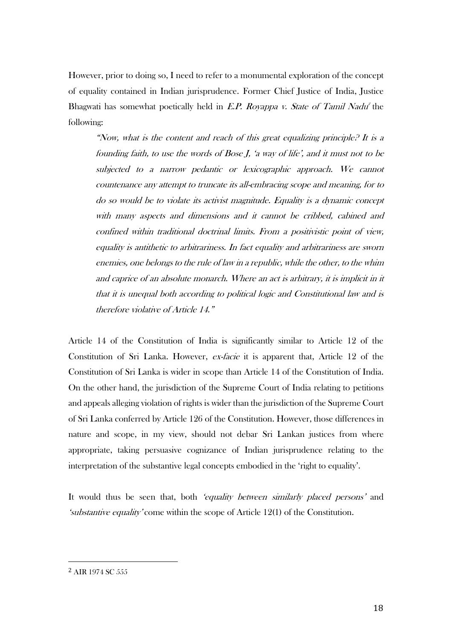However, prior to doing so, I need to refer to a monumental exploration of the concept of equality contained in Indian jurisprudence. Former Chief Justice of India, Justice Bhagwati has somewhat poetically held in *E.P. Royappa v. State of Tamil Nadu<sup>2</sup>* the following:

"Now, what is the content and reach of this great equalizing principle? It is a founding faith, to use the words of Bose J, 'a way of life', and it must not to be subjected to a narrow pedantic or lexicographic approach. We cannot countenance any attempt to truncate its all-embracing scope and meaning, for to do so would be to violate its activist magnitude. Equality is a dynamic concept with many aspects and dimensions and it cannot be cribbed, cabined and confined within traditional doctrinal limits. From a positivistic point of view, equality is antithetic to arbitrariness. In fact equality and arbitrariness are sworn enemies, one belongs to the rule of law in a republic, while the other, to the whim and caprice of an absolute monarch. Where an act is arbitrary, it is implicit in it that it is unequal both according to political logic and Constitutional law and is therefore violative of Article 14."

Article 14 of the Constitution of India is significantly similar to Article 12 of the Constitution of Sri Lanka. However, ex-facie it is apparent that, Article 12 of the Constitution of Sri Lanka is wider in scope than Article 14 of the Constitution of India. On the other hand, the jurisdiction of the Supreme Court of India relating to petitions and appeals alleging violation of rights is wider than the jurisdiction of the Supreme Court of Sri Lanka conferred by Article 126 of the Constitution. However, those differences in nature and scope, in my view, should not debar Sri Lankan justices from where appropriate, taking persuasive cognizance of Indian jurisprudence relating to the interpretation of the substantive legal concepts embodied in the 'right to equality'.

It would thus be seen that, both 'equality between similarly placed persons' and 'substantive equality' come within the scope of Article 12(1) of the Constitution.

<sup>2</sup> AIR 1974 SC 555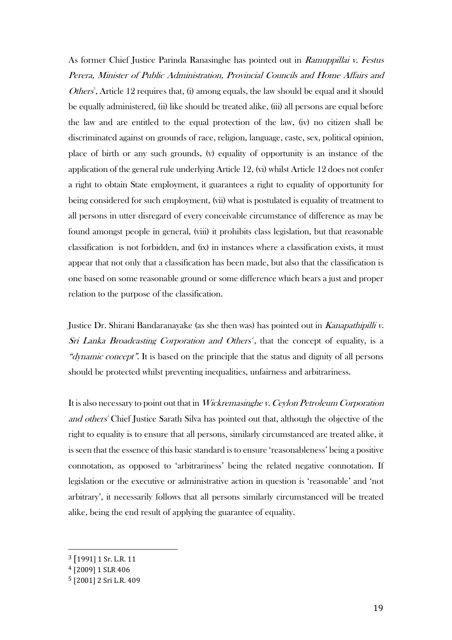As former Chief Justice Parinda Ranasinghe has pointed out in Ramuppillai v. Festus Perera, Minister of Public Administration, Provincial Councils and Home Affairs and *Others*<sup>3</sup>, Article 12 requires that, (i) among equals, the law should be equal and it should be equally administered, (ii) like should be treated alike, (iii) all persons are equal before the law and are entitled to the equal protection of the law, (iv) no citizen shall be discriminated against on grounds of race, religion, language, caste, sex, political opinion, place of birth or any such grounds, (v) equality of opportunity is an instance of the application of the general rule underlying Article 12, (vi) whilst Article 12 does not confer a right to obtain State employment, it guarantees a right to equality of opportunity for being considered for such employment, (vii) what is postulated is equality of treatment to all persons in utter disregard of every conceivable circumstance of difference as may be found amongst people in general, (viii) it prohibits class legislation, but that reasonable classification is not forbidden, and (ix) in instances where a classification exists, it must appear that not only that a classification has been made, but also that the classification is one based on some reasonable ground or some difference which bears a just and proper relation to the purpose of the classification.

Justice Dr. Shirani Bandaranayake (as she then was) has pointed out in *Kanapathipilli v.* Sri Lanka Broadcasting Corporation and Others<sup>4</sup>, that the concept of equality, is a "dynamic concept". It is based on the principle that the status and dignity of all persons should be protected whilst preventing inequalities, unfairness and arbitrariness.

It is also necessary to point out that in Wickremasinghe v. Ceylon Petroleum Corporation and others<sup>'</sup> Chief Justice Sarath Silva has pointed out that, although the objective of the right to equality is to ensure that all persons, similarly circumstanced are treated alike, it is seen that the essence of this basic standard is to ensure 'reasonableness' being a positive connotation, as opposed to 'arbitrariness' being the related negative connotation. If legislation or the executive or administrative action in question is 'reasonable' and 'not arbitrary', it necessarily follows that all persons similarly circumstanced will be treated alike, being the end result of applying the guarantee of equality.

<sup>3</sup> [1991] 1 Sr. L.R. 11

<sup>4</sup> [2009] 1 SLR 406

<sup>5</sup> [2001] 2 Sri L.R. 409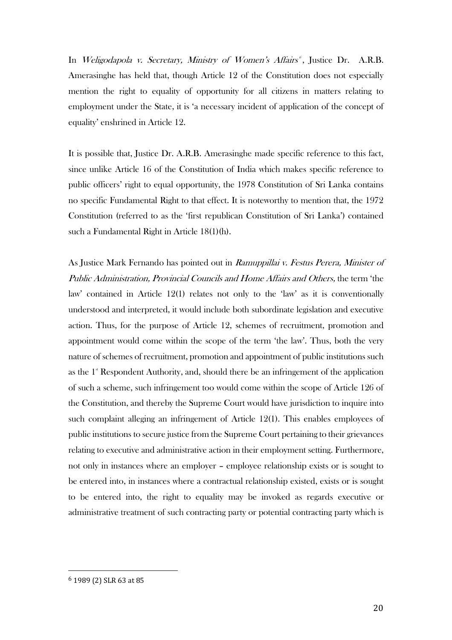In *Weligodapola v. Secretary, Ministry of Women's Affairs<sup>6</sup>, Justice Dr. A.R.B.* Amerasinghe has held that, though Article 12 of the Constitution does not especially mention the right to equality of opportunity for all citizens in matters relating to employment under the State, it is 'a necessary incident of application of the concept of equality' enshrined in Article 12.

It is possible that, Justice Dr. A.R.B. Amerasinghe made specific reference to this fact, since unlike Article 16 of the Constitution of India which makes specific reference to public officers' right to equal opportunity, the 1978 Constitution of Sri Lanka contains no specific Fundamental Right to that effect. It is noteworthy to mention that, the 1972 Constitution (referred to as the 'first republican Constitution of Sri Lanka') contained such a Fundamental Right in Article 18(1)(h).

As Justice Mark Fernando has pointed out in Ramuppillai v. Festus Perera, Minister of Public Administration, Provincial Councils and Home Affairs and Others, the term 'the law' contained in Article 12(1) relates not only to the 'law' as it is conventionally understood and interpreted, it would include both subordinate legislation and executive action. Thus, for the purpose of Article 12, schemes of recruitment, promotion and appointment would come within the scope of the term 'the law'. Thus, both the very nature of schemes of recruitment, promotion and appointment of public institutions such as the  $1^{\circ}$  Respondent Authority, and, should there be an infringement of the application of such a scheme, such infringement too would come within the scope of Article 126 of the Constitution, and thereby the Supreme Court would have jurisdiction to inquire into such complaint alleging an infringement of Article 12(1). This enables employees of public institutions to secure justice from the Supreme Court pertaining to their grievances relating to executive and administrative action in their employment setting. Furthermore, not only in instances where an employer – employee relationship exists or is sought to be entered into, in instances where a contractual relationship existed, exists or is sought to be entered into, the right to equality may be invoked as regards executive or administrative treatment of such contracting party or potential contracting party which is

<sup>6</sup> 1989 (2) SLR 63 at 85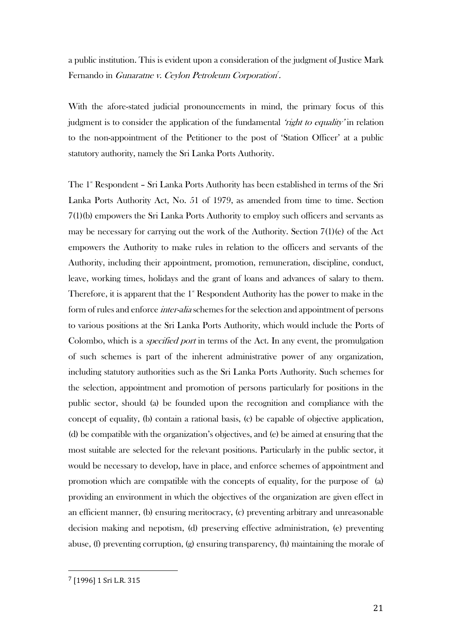a public institution. This is evident upon a consideration of the judgment of Justice Mark Fernando in *Gunaratne v. Ceylon Petroleum Corporation*<sup>7</sup>.

With the afore-stated judicial pronouncements in mind, the primary focus of this judgment is to consider the application of the fundamental *'right to equality'* in relation to the non-appointment of the Petitioner to the post of 'Station Officer' at a public statutory authority, namely the Sri Lanka Ports Authority.

The 1<sup>\*</sup> Respondent – Sri Lanka Ports Authority has been established in terms of the Sri Lanka Ports Authority Act, No. 51 of 1979, as amended from time to time. Section 7(1)(b) empowers the Sri Lanka Ports Authority to employ such officers and servants as may be necessary for carrying out the work of the Authority. Section 7(1)(e) of the Act empowers the Authority to make rules in relation to the officers and servants of the Authority, including their appointment, promotion, remuneration, discipline, conduct, leave, working times, holidays and the grant of loans and advances of salary to them. Therefore, it is apparent that the  $1^{\circ}$  Respondent Authority has the power to make in the form of rules and enforce *inter-alia* schemes for the selection and appointment of persons to various positions at the Sri Lanka Ports Authority, which would include the Ports of Colombo, which is a *specified port* in terms of the Act. In any event, the promulgation of such schemes is part of the inherent administrative power of any organization, including statutory authorities such as the Sri Lanka Ports Authority. Such schemes for the selection, appointment and promotion of persons particularly for positions in the public sector, should (a) be founded upon the recognition and compliance with the concept of equality, (b) contain a rational basis, (c) be capable of objective application, (d) be compatible with the organization's objectives, and (e) be aimed at ensuring that the most suitable are selected for the relevant positions. Particularly in the public sector, it would be necessary to develop, have in place, and enforce schemes of appointment and promotion which are compatible with the concepts of equality, for the purpose of (a) providing an environment in which the objectives of the organization are given effect in an efficient manner, (b) ensuring meritocracy, (c) preventing arbitrary and unreasonable decision making and nepotism, (d) preserving effective administration, (e) preventing abuse, (f) preventing corruption, (g) ensuring transparency, (h) maintaining the morale of

<sup>7</sup> [1996] 1 Sri L.R. 315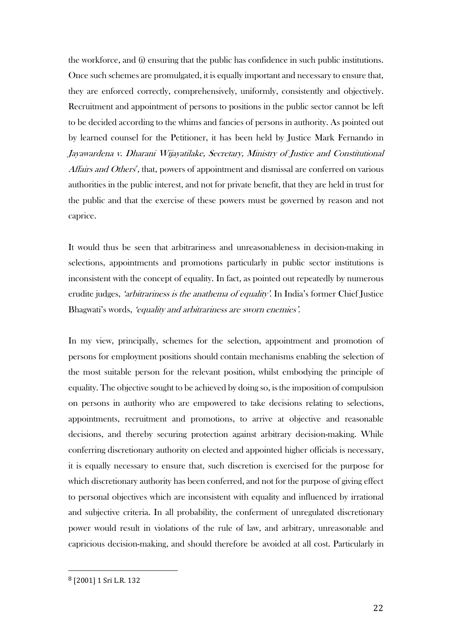the workforce, and (i) ensuring that the public has confidence in such public institutions. Once such schemes are promulgated, it is equally important and necessary to ensure that, they are enforced correctly, comprehensively, uniformly, consistently and objectively. Recruitment and appointment of persons to positions in the public sector cannot be left to be decided according to the whims and fancies of persons in authority. As pointed out by learned counsel for the Petitioner, it has been held by Justice Mark Fernando in Jayawardena v. Dharani Wijayatilake, Secretary, Ministry of Justice and Constitutional Affairs and Others<sup>8</sup>, that, powers of appointment and dismissal are conferred on various authorities in the public interest, and not for private benefit, that they are held in trust for the public and that the exercise of these powers must be governed by reason and not caprice.

It would thus be seen that arbitrariness and unreasonableness in decision-making in selections, appointments and promotions particularly in public sector institutions is inconsistent with the concept of equality. In fact, as pointed out repeatedly by numerous erudite judges, *'arbitrariness is the anathema of equality'*. In India's former Chief Justice Bhagwati's words, 'equality and arbitrariness are sworn enemies'.

In my view, principally, schemes for the selection, appointment and promotion of persons for employment positions should contain mechanisms enabling the selection of the most suitable person for the relevant position, whilst embodying the principle of equality. The objective sought to be achieved by doing so, is the imposition of compulsion on persons in authority who are empowered to take decisions relating to selections, appointments, recruitment and promotions, to arrive at objective and reasonable decisions, and thereby securing protection against arbitrary decision-making. While conferring discretionary authority on elected and appointed higher officials is necessary, it is equally necessary to ensure that, such discretion is exercised for the purpose for which discretionary authority has been conferred, and not for the purpose of giving effect to personal objectives which are inconsistent with equality and influenced by irrational and subjective criteria. In all probability, the conferment of unregulated discretionary power would result in violations of the rule of law, and arbitrary, unreasonable and capricious decision-making, and should therefore be avoided at all cost. Particularly in

<sup>8</sup> [2001] 1 Sri L.R. 132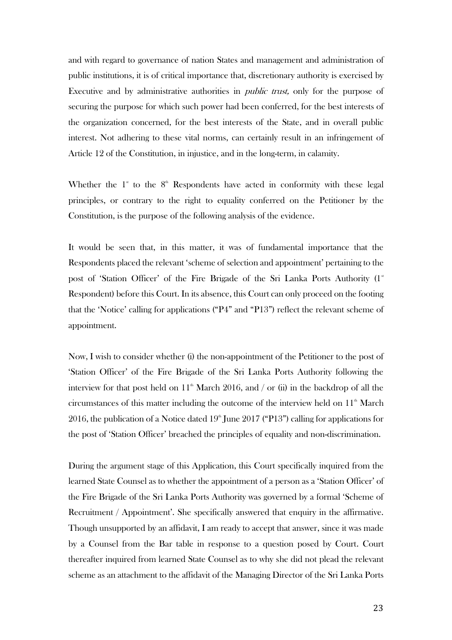and with regard to governance of nation States and management and administration of public institutions, it is of critical importance that, discretionary authority is exercised by Executive and by administrative authorities in public trust, only for the purpose of securing the purpose for which such power had been conferred, for the best interests of the organization concerned, for the best interests of the State, and in overall public interest. Not adhering to these vital norms, can certainly result in an infringement of Article 12 of the Constitution, in injustice, and in the long-term, in calamity.

Whether the  $1^*$  to the  $8^{\text{th}}$  Respondents have acted in conformity with these legal principles, or contrary to the right to equality conferred on the Petitioner by the Constitution, is the purpose of the following analysis of the evidence.

It would be seen that, in this matter, it was of fundamental importance that the Respondents placed the relevant 'scheme of selection and appointment' pertaining to the post of 'Station Officer' of the Fire Brigade of the Sri Lanka Ports Authority  $(1^{\ast})$ Respondent) before this Court. In its absence, this Court can only proceed on the footing that the 'Notice' calling for applications ("P4" and "P13") reflect the relevant scheme of appointment.

Now, I wish to consider whether (i) the non-appointment of the Petitioner to the post of 'Station Officer' of the Fire Brigade of the Sri Lanka Ports Authority following the interview for that post held on  $11<sup>th</sup>$  March 2016, and / or (ii) in the backdrop of all the circumstances of this matter including the outcome of the interview held on 11<sup>th</sup> March 2016, the publication of a Notice dated  $19^{\text{th}}$  June 2017 ("P13") calling for applications for the post of 'Station Officer' breached the principles of equality and non-discrimination.

During the argument stage of this Application, this Court specifically inquired from the learned State Counsel as to whether the appointment of a person as a 'Station Officer' of the Fire Brigade of the Sri Lanka Ports Authority was governed by a formal 'Scheme of Recruitment / Appointment'. She specifically answered that enquiry in the affirmative. Though unsupported by an affidavit, I am ready to accept that answer, since it was made by a Counsel from the Bar table in response to a question posed by Court. Court thereafter inquired from learned State Counsel as to why she did not plead the relevant scheme as an attachment to the affidavit of the Managing Director of the Sri Lanka Ports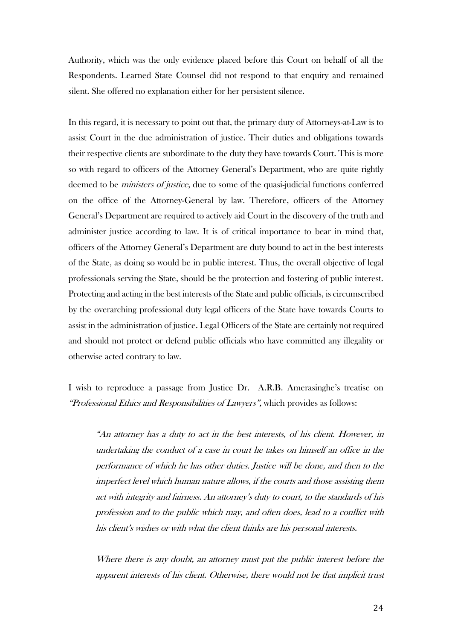Authority, which was the only evidence placed before this Court on behalf of all the Respondents. Learned State Counsel did not respond to that enquiry and remained silent. She offered no explanation either for her persistent silence.

In this regard, it is necessary to point out that, the primary duty of Attorneys-at-Law is to assist Court in the due administration of justice. Their duties and obligations towards their respective clients are subordinate to the duty they have towards Court. This is more so with regard to officers of the Attorney General's Department, who are quite rightly deemed to be *ministers of justice*, due to some of the quasi-judicial functions conferred on the office of the Attorney-General by law. Therefore, officers of the Attorney General's Department are required to actively aid Court in the discovery of the truth and administer justice according to law. It is of critical importance to bear in mind that, officers of the Attorney General's Department are duty bound to act in the best interests of the State, as doing so would be in public interest. Thus, the overall objective of legal professionals serving the State, should be the protection and fostering of public interest. Protecting and acting in the best interests of the State and public officials, is circumscribed by the overarching professional duty legal officers of the State have towards Courts to assist in the administration of justice. Legal Officers of the State are certainly not required and should not protect or defend public officials who have committed any illegality or otherwise acted contrary to law.

I wish to reproduce a passage from Justice Dr. A.R.B. Amerasinghe's treatise on "Professional Ethics and Responsibilities of Lawyers", which provides as follows:

"An attorney has a duty to act in the best interests, of his client. However, in undertaking the conduct of a case in court he takes on himself an office in the performance of which he has other duties. Justice will be done, and then to the imperfect level which human nature allows, if the courts and those assisting them act with integrity and fairness. An attorney's duty to court, to the standards of his profession and to the public which may, and often does, lead to a conflict with his client's wishes or with what the client thinks are his personal interests.

Where there is any doubt, an attorney must put the public interest before the apparent interests of his client. Otherwise, there would not be that implicit trust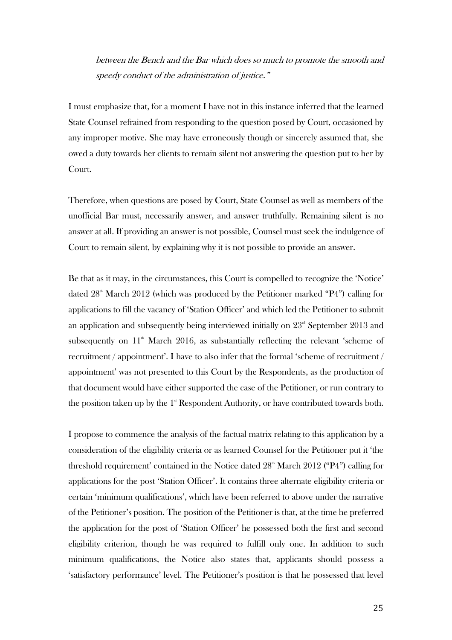between the Bench and the Bar which does so much to promote the smooth and speedy conduct of the administration of justice."

I must emphasize that, for a moment I have not in this instance inferred that the learned State Counsel refrained from responding to the question posed by Court, occasioned by any improper motive. She may have erroneously though or sincerely assumed that, she owed a duty towards her clients to remain silent not answering the question put to her by Court.

Therefore, when questions are posed by Court, State Counsel as well as members of the unofficial Bar must, necessarily answer, and answer truthfully. Remaining silent is no answer at all. If providing an answer is not possible, Counsel must seek the indulgence of Court to remain silent, by explaining why it is not possible to provide an answer.

Be that as it may, in the circumstances, this Court is compelled to recognize the 'Notice' dated  $28<sup>th</sup>$  March  $2012$  (which was produced by the Petitioner marked "P4") calling for applications to fill the vacancy of 'Station Officer' and which led the Petitioner to submit an application and subsequently being interviewed initially on  $23<sup>rd</sup>$  September 2013 and subsequently on  $11<sup>th</sup>$  March 2016, as substantially reflecting the relevant 'scheme of recruitment / appointment'. I have to also infer that the formal 'scheme of recruitment / appointment' was not presented to this Court by the Respondents, as the production of that document would have either supported the case of the Petitioner, or run contrary to the position taken up by the  $1^{\circ}$  Respondent Authority, or have contributed towards both.

I propose to commence the analysis of the factual matrix relating to this application by a consideration of the eligibility criteria or as learned Counsel for the Petitioner put it 'the threshold requirement' contained in the Notice dated  $28<sup>th</sup>$  March  $2012$  ("P4") calling for applications for the post 'Station Officer'. It contains three alternate eligibility criteria or certain 'minimum qualifications', which have been referred to above under the narrative of the Petitioner's position. The position of the Petitioner is that, at the time he preferred the application for the post of 'Station Officer' he possessed both the first and second eligibility criterion, though he was required to fulfill only one. In addition to such minimum qualifications, the Notice also states that, applicants should possess a 'satisfactory performance' level. The Petitioner's position is that he possessed that level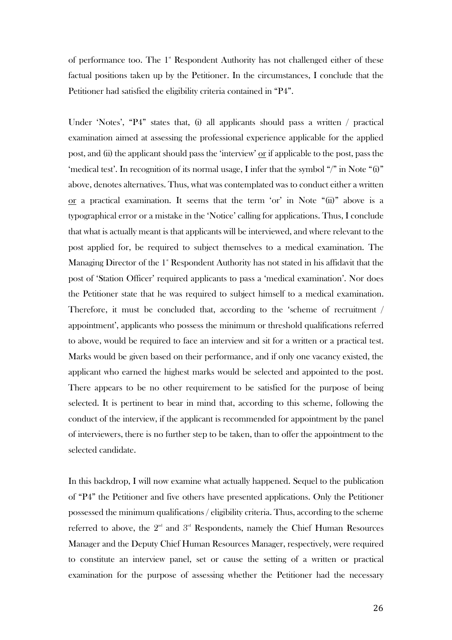of performance too. The  $1^*$  Respondent Authority has not challenged either of these factual positions taken up by the Petitioner. In the circumstances, I conclude that the Petitioner had satisfied the eligibility criteria contained in "P4".

Under 'Notes', "P4" states that, (i) all applicants should pass a written / practical examination aimed at assessing the professional experience applicable for the applied post, and (ii) the applicant should pass the 'interview' or if applicable to the post, pass the 'medical test'. In recognition of its normal usage, I infer that the symbol "/" in Note "(i)" above, denotes alternatives. Thus, what was contemplated was to conduct either a written  $or$  a practical examination. It seems that the term 'or' in Note " $(ii)$ " above is a</u> typographical error or a mistake in the 'Notice' calling for applications. Thus, I conclude that what is actually meant is that applicants will be interviewed, and where relevant to the post applied for, be required to subject themselves to a medical examination. The Managing Director of the 1<sup>st</sup> Respondent Authority has not stated in his affidavit that the post of 'Station Officer' required applicants to pass a 'medical examination'. Nor does the Petitioner state that he was required to subject himself to a medical examination. Therefore, it must be concluded that, according to the 'scheme of recruitment / appointment', applicants who possess the minimum or threshold qualifications referred to above, would be required to face an interview and sit for a written or a practical test. Marks would be given based on their performance, and if only one vacancy existed, the applicant who earned the highest marks would be selected and appointed to the post. There appears to be no other requirement to be satisfied for the purpose of being selected. It is pertinent to bear in mind that, according to this scheme, following the conduct of the interview, if the applicant is recommended for appointment by the panel of interviewers, there is no further step to be taken, than to offer the appointment to the selected candidate.

In this backdrop, I will now examine what actually happened. Sequel to the publication of "P4" the Petitioner and five others have presented applications. Only the Petitioner possessed the minimum qualifications / eligibility criteria. Thus, according to the scheme referred to above, the  $2<sup>nd</sup>$  and  $3<sup>rd</sup>$  Respondents, namely the Chief Human Resources Manager and the Deputy Chief Human Resources Manager, respectively, were required to constitute an interview panel, set or cause the setting of a written or practical examination for the purpose of assessing whether the Petitioner had the necessary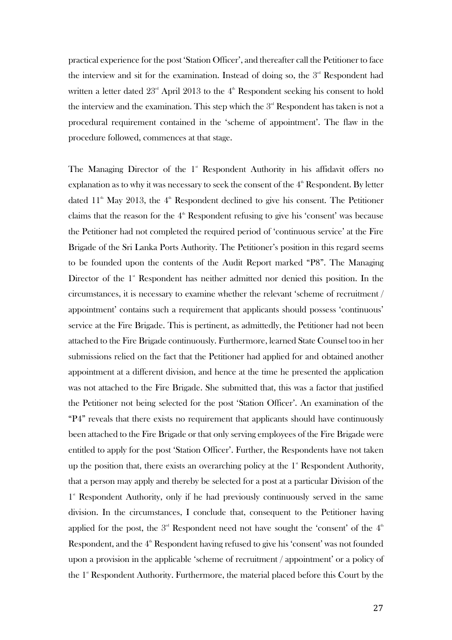practical experience for the post 'Station Officer', and thereafter call the Petitioner to face the interview and sit for the examination. Instead of doing so, the  $3<sup>rd</sup>$  Respondent had written a letter dated  $23<sup>rd</sup>$  April 2013 to the  $4<sup>th</sup>$  Respondent seeking his consent to hold the interview and the examination. This step which the  $3<sup>nd</sup>$  Respondent has taken is not a procedural requirement contained in the 'scheme of appointment'. The flaw in the procedure followed, commences at that stage.

The Managing Director of the  $1$ <sup>\*</sup> Respondent Authority in his affidavit offers no explanation as to why it was necessary to seek the consent of the  $4<sup>th</sup>$  Respondent. By letter dated  $11<sup>th</sup>$  May 2013, the  $4<sup>th</sup>$  Respondent declined to give his consent. The Petitioner claims that the reason for the  $4<sup>th</sup>$  Respondent refusing to give his 'consent' was because the Petitioner had not completed the required period of 'continuous service' at the Fire Brigade of the Sri Lanka Ports Authority. The Petitioner's position in this regard seems to be founded upon the contents of the Audit Report marked "P8". The Managing Director of the  $1^{\circ}$  Respondent has neither admitted nor denied this position. In the circumstances, it is necessary to examine whether the relevant 'scheme of recruitment / appointment' contains such a requirement that applicants should possess 'continuous' service at the Fire Brigade. This is pertinent, as admittedly, the Petitioner had not been attached to the Fire Brigade continuously. Furthermore, learned State Counsel too in her submissions relied on the fact that the Petitioner had applied for and obtained another appointment at a different division, and hence at the time he presented the application was not attached to the Fire Brigade. She submitted that, this was a factor that justified the Petitioner not being selected for the post 'Station Officer'. An examination of the "P4" reveals that there exists no requirement that applicants should have continuously been attached to the Fire Brigade or that only serving employees of the Fire Brigade were entitled to apply for the post 'Station Officer'. Further, the Respondents have not taken up the position that, there exists an overarching policy at the  $1^{\circ}$  Respondent Authority, that a person may apply and thereby be selected for a post at a particular Division of the 1<sup>\*</sup> Respondent Authority, only if he had previously continuously served in the same division. In the circumstances, I conclude that, consequent to the Petitioner having applied for the post, the  $3^{\text{\tiny{nd}}}$  Respondent need not have sought the 'consent' of the  $4^{\text{\tiny{th}}}$ Respondent, and the  $4<sup>th</sup>$  Respondent having refused to give his 'consent' was not founded upon a provision in the applicable 'scheme of recruitment / appointment' or a policy of the 1<sup>st</sup> Respondent Authority. Furthermore, the material placed before this Court by the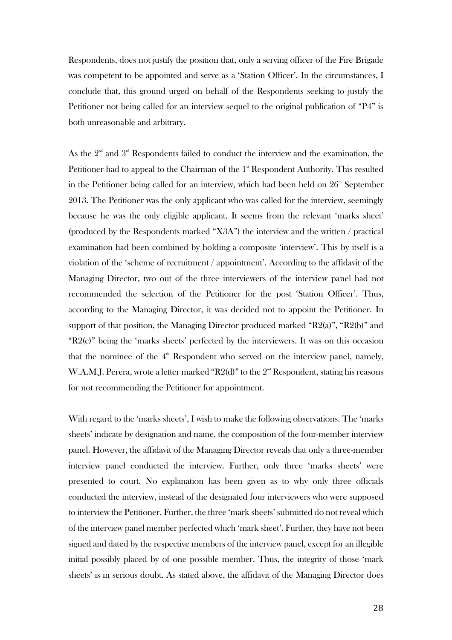Respondents, does not justify the position that, only a serving officer of the Fire Brigade was competent to be appointed and serve as a 'Station Officer'. In the circumstances, I conclude that, this ground urged on behalf of the Respondents seeking to justify the Petitioner not being called for an interview sequel to the original publication of "P4" is both unreasonable and arbitrary.

As the  $2<sup>nd</sup>$  and  $3<sup>rd</sup>$  Respondents failed to conduct the interview and the examination, the Petitioner had to appeal to the Chairman of the  $1<sup>*</sup>$  Respondent Authority. This resulted in the Petitioner being called for an interview, which had been held on  $26<sup>th</sup>$  September 2013. The Petitioner was the only applicant who was called for the interview, seemingly because he was the only eligible applicant. It seems from the relevant 'marks sheet' (produced by the Respondents marked "X3A") the interview and the written / practical examination had been combined by holding a composite 'interview'. This by itself is a violation of the 'scheme of recruitment / appointment'. According to the affidavit of the Managing Director, two out of the three interviewers of the interview panel had not recommended the selection of the Petitioner for the post 'Station Officer'. Thus, according to the Managing Director, it was decided not to appoint the Petitioner. In support of that position, the Managing Director produced marked "R2(a)", "R2(b)" and "R2(c)" being the 'marks sheets' perfected by the interviewers. It was on this occasion that the nominee of the  $4<sup>th</sup>$  Respondent who served on the interview panel, namely, W.A.M.J. Perera, wrote a letter marked "R2(d)" to the  $2<sup>nd</sup>$  Respondent, stating his reasons for not recommending the Petitioner for appointment.

With regard to the 'marks sheets', I wish to make the following observations. The 'marks sheets' indicate by designation and name, the composition of the four-member interview panel. However, the affidavit of the Managing Director reveals that only a three-member interview panel conducted the interview. Further, only three 'marks sheets' were presented to court. No explanation has been given as to why only three officials conducted the interview, instead of the designated four interviewers who were supposed to interview the Petitioner. Further, the three 'mark sheets' submitted do not reveal which of the interview panel member perfected which 'mark sheet'. Further, they have not been signed and dated by the respective members of the interview panel, except for an illegible initial possibly placed by of one possible member. Thus, the integrity of those 'mark sheets' is in serious doubt. As stated above, the affidavit of the Managing Director does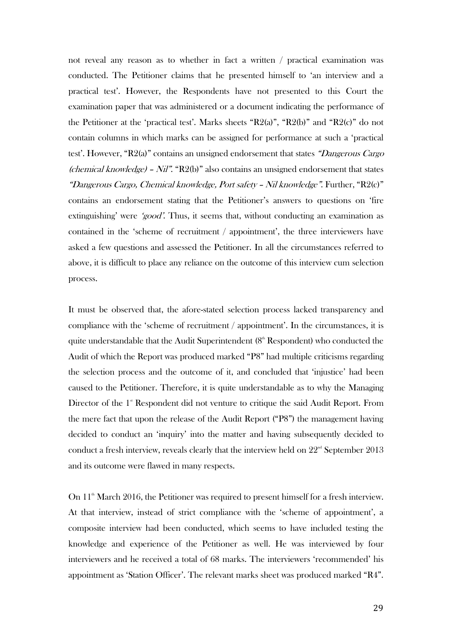not reveal any reason as to whether in fact a written / practical examination was conducted. The Petitioner claims that he presented himself to 'an interview and a practical test'. However, the Respondents have not presented to this Court the examination paper that was administered or a document indicating the performance of the Petitioner at the 'practical test'. Marks sheets "R2(a)", "R2(b)" and "R2(c)" do not contain columns in which marks can be assigned for performance at such a 'practical test'. However, "R2(a)" contains an unsigned endorsement that states "Dangerous Cargo (chemical knowledge) - Nil". "R2(b)" also contains an unsigned endorsement that states "Dangerous Cargo, Chemical knowledge, Port safety – Nil knowledge". Further, "R2(c)" contains an endorsement stating that the Petitioner's answers to questions on 'fire extinguishing' were 'good'. Thus, it seems that, without conducting an examination as contained in the 'scheme of recruitment / appointment', the three interviewers have asked a few questions and assessed the Petitioner. In all the circumstances referred to above, it is difficult to place any reliance on the outcome of this interview cum selection process.

It must be observed that, the afore-stated selection process lacked transparency and compliance with the 'scheme of recruitment / appointment'. In the circumstances, it is quite understandable that the Audit Superintendent  $(8<sup>th</sup>$  Respondent) who conducted the Audit of which the Report was produced marked "P8" had multiple criticisms regarding the selection process and the outcome of it, and concluded that 'injustice' had been caused to the Petitioner. Therefore, it is quite understandable as to why the Managing Director of the  $1<sup>*</sup>$  Respondent did not venture to critique the said Audit Report. From the mere fact that upon the release of the Audit Report ("P8") the management having decided to conduct an 'inquiry' into the matter and having subsequently decided to conduct a fresh interview, reveals clearly that the interview held on  $22<sup>nd</sup>$  September 2013 and its outcome were flawed in many respects.

On  $11^{\degree}$  March 2016, the Petitioner was required to present himself for a fresh interview. At that interview, instead of strict compliance with the 'scheme of appointment', a composite interview had been conducted, which seems to have included testing the knowledge and experience of the Petitioner as well. He was interviewed by four interviewers and he received a total of 68 marks. The interviewers 'recommended' his appointment as 'Station Officer'. The relevant marks sheet was produced marked "R4".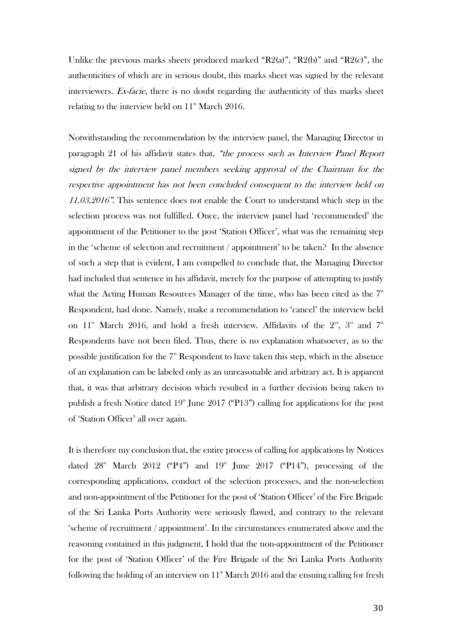Unlike the previous marks sheets produced marked "R2(a)", "R2(b)" and "R2(c)", the authenticities of which are in serious doubt, this marks sheet was signed by the relevant interviewers. Ex-facie, there is no doubt regarding the authenticity of this marks sheet relating to the interview held on  $11<sup>th</sup>$  March 2016.

Notwithstanding the recommendation by the interview panel, the Managing Director in paragraph 21 of his affidavit states that, "the process such as Interview Panel Report signed by the interview panel members seeking approval of the Chairman for the respective appointment has not been concluded consequent to the interview held on 11.03.2016". This sentence does not enable the Court to understand which step in the selection process was not fulfilled. Once, the interview panel had 'recommended' the appointment of the Petitioner to the post 'Station Officer', what was the remaining step in the 'scheme of selection and recruitment / appointment' to be taken? In the absence of such a step that is evident, I am compelled to conclude that, the Managing Director had included that sentence in his affidavit, merely for the purpose of attempting to justify what the Acting Human Resources Manager of the time, who has been cited as the  $7<sup>th</sup>$ Respondent, had done. Namely, make a recommendation to 'cancel' the interview held on 11<sup>th</sup> March 2016, and hold a fresh interview. Affidavits of the  $2<sup>nd</sup>$ ,  $3<sup>rd</sup>$  and  $7<sup>th</sup>$ Respondents have not been filed. Thus, there is no explanation whatsoever, as to the possible justification for the  $7<sup>th</sup>$  Respondent to have taken this step, which in the absence of an explanation can be labeled only as an unreasonable and arbitrary act. It is apparent that, it was that arbitrary decision which resulted in a further decision being taken to publish a fresh Notice dated  $19<sup>th</sup>$  June 2017 ("P13") calling for applications for the post of 'Station Officer' all over again.

It is therefore my conclusion that, the entire process of calling for applications by Notices dated  $28<sup>th</sup>$  March  $2012$  ("P4") and  $19<sup>th</sup>$  June  $2017$  ("P14"), processing of the corresponding applications, conduct of the selection processes, and the non-selection and non-appointment of the Petitioner for the post of 'Station Officer' of the Fire Brigade of the Sri Lanka Ports Authority were seriously flawed, and contrary to the relevant 'scheme of recruitment / appointment'. In the circumstances enumerated above and the reasoning contained in this judgment, I hold that the non-appointment of the Petitioner for the post of 'Station Officer' of the Fire Brigade of the Sri Lanka Ports Authority following the holding of an interview on  $11<sup>th</sup>$  March 2016 and the ensuing calling for fresh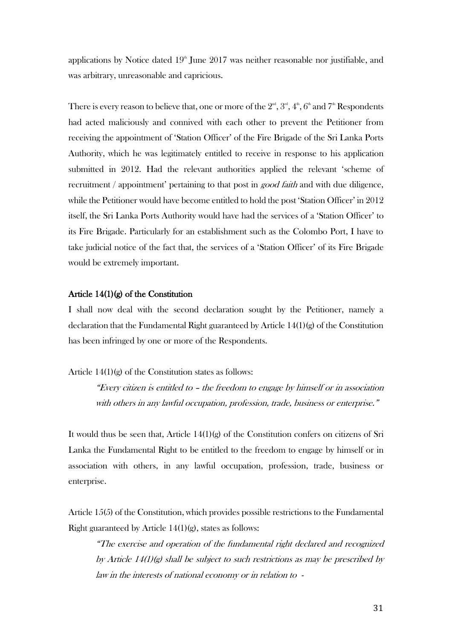applications by Notice dated  $19<sup>th</sup>$  June 2017 was neither reasonable nor justifiable, and was arbitrary, unreasonable and capricious.

There is every reason to believe that, one or more of the  $2^{\text{\tiny{nd}}}, 3^{\text{\tiny{nd}}}, 4^{\text{\tiny{th}}}, 6^{\text{\tiny{th}}}$  and  $7^{\text{\tiny{th}}}$  Respondents had acted maliciously and connived with each other to prevent the Petitioner from receiving the appointment of 'Station Officer' of the Fire Brigade of the Sri Lanka Ports Authority, which he was legitimately entitled to receive in response to his application submitted in 2012. Had the relevant authorities applied the relevant 'scheme of recruitment / appointment' pertaining to that post in good faith and with due diligence, while the Petitioner would have become entitled to hold the post 'Station Officer' in 2012 itself, the Sri Lanka Ports Authority would have had the services of a 'Station Officer' to its Fire Brigade. Particularly for an establishment such as the Colombo Port, I have to take judicial notice of the fact that, the services of a 'Station Officer' of its Fire Brigade would be extremely important.

### Article 14(1)(g) of the Constitution

I shall now deal with the second declaration sought by the Petitioner, namely a declaration that the Fundamental Right guaranteed by Article  $14(1)(g)$  of the Constitution has been infringed by one or more of the Respondents.

Article 14(1)(g) of the Constitution states as follows:

"Every citizen is entitled to – the freedom to engage by himself or in association with others in any lawful occupation, profession, trade, business or enterprise."

It would thus be seen that, Article  $14(1)(g)$  of the Constitution confers on citizens of Sri Lanka the Fundamental Right to be entitled to the freedom to engage by himself or in association with others, in any lawful occupation, profession, trade, business or enterprise.

Article 15(5) of the Constitution, which provides possible restrictions to the Fundamental Right guaranteed by Article  $14(1)(g)$ , states as follows:

"The exercise and operation of the fundamental right declared and recognized by Article  $14(1)(g)$  shall be subject to such restrictions as may be prescribed by law in the interests of national economy or in relation to -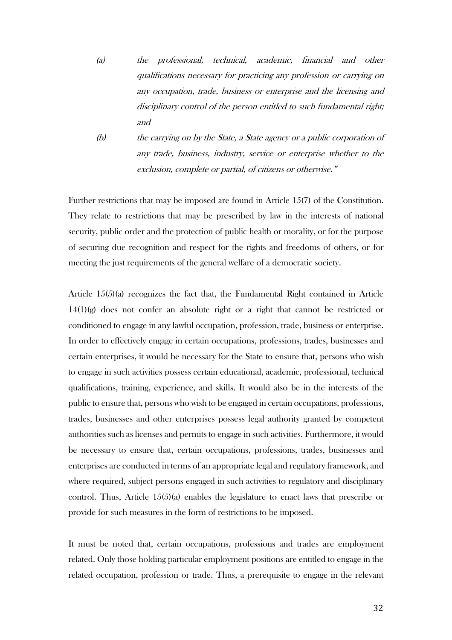- (a) the professional, technical, academic, financial and other qualifications necessary for practicing any profession or carrying on any occupation, trade, business or enterprise and the licensing and disciplinary control of the person entitled to such fundamental right; and
- (b) the carrying on by the State, a State agency or a public corporation of any trade, business, industry, service or enterprise whether to the exclusion, complete or partial, of citizens or otherwise."

Further restrictions that may be imposed are found in Article 15(7) of the Constitution. They relate to restrictions that may be prescribed by law in the interests of national security, public order and the protection of public health or morality, or for the purpose of securing due recognition and respect for the rights and freedoms of others, or for meeting the just requirements of the general welfare of a democratic society.

Article 15(5)(a) recognizes the fact that, the Fundamental Right contained in Article  $14(1)(g)$  does not confer an absolute right or a right that cannot be restricted or conditioned to engage in any lawful occupation, profession, trade, business or enterprise. In order to effectively engage in certain occupations, professions, trades, businesses and certain enterprises, it would be necessary for the State to ensure that, persons who wish to engage in such activities possess certain educational, academic, professional, technical qualifications, training, experience, and skills. It would also be in the interests of the public to ensure that, persons who wish to be engaged in certain occupations, professions, trades, businesses and other enterprises possess legal authority granted by competent authorities such as licenses and permits to engage in such activities. Furthermore, it would be necessary to ensure that, certain occupations, professions, trades, businesses and enterprises are conducted in terms of an appropriate legal and regulatory framework, and where required, subject persons engaged in such activities to regulatory and disciplinary control. Thus, Article  $15(5)(a)$  enables the legislature to enact laws that prescribe or provide for such measures in the form of restrictions to be imposed.

It must be noted that, certain occupations, professions and trades are employment related. Only those holding particular employment positions are entitled to engage in the related occupation, profession or trade. Thus, a prerequisite to engage in the relevant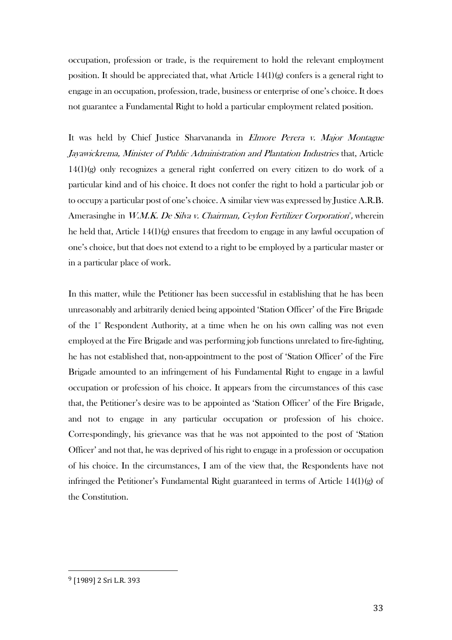occupation, profession or trade, is the requirement to hold the relevant employment position. It should be appreciated that, what Article  $14(1)(g)$  confers is a general right to engage in an occupation, profession, trade, business or enterprise of one's choice. It does not guarantee a Fundamental Right to hold a particular employment related position.

It was held by Chief Justice Sharvananda in *Elmore Perera v. Major Montague* Jayawickrema, Minister of Public Administration and Plantation Industries that, Article 14(1)(g) only recognizes a general right conferred on every citizen to do work of a particular kind and of his choice. It does not confer the right to hold a particular job or to occupy a particular post of one's choice. A similar view was expressed by Justice A.R.B. Amerasinghe in W.M.K. De Silva v. Chairman, Ceylon Fertilizer Corporation<sup>9</sup>, wherein he held that, Article 14(1)(g) ensures that freedom to engage in any lawful occupation of one's choice, but that does not extend to a right to be employed by a particular master or in a particular place of work.

In this matter, while the Petitioner has been successful in establishing that he has been unreasonably and arbitrarily denied being appointed 'Station Officer' of the Fire Brigade of the  $1<sup>s</sup>$  Respondent Authority, at a time when he on his own calling was not even employed at the Fire Brigade and was performing job functions unrelated to fire-fighting, he has not established that, non-appointment to the post of 'Station Officer' of the Fire Brigade amounted to an infringement of his Fundamental Right to engage in a lawful occupation or profession of his choice. It appears from the circumstances of this case that, the Petitioner's desire was to be appointed as 'Station Officer' of the Fire Brigade, and not to engage in any particular occupation or profession of his choice. Correspondingly, his grievance was that he was not appointed to the post of 'Station Officer' and not that, he was deprived of his right to engage in a profession or occupation of his choice. In the circumstances, I am of the view that, the Respondents have not infringed the Petitioner's Fundamental Right guaranteed in terms of Article  $14(1)(g)$  of the Constitution.

<sup>9</sup> [1989] 2 Sri L.R. 393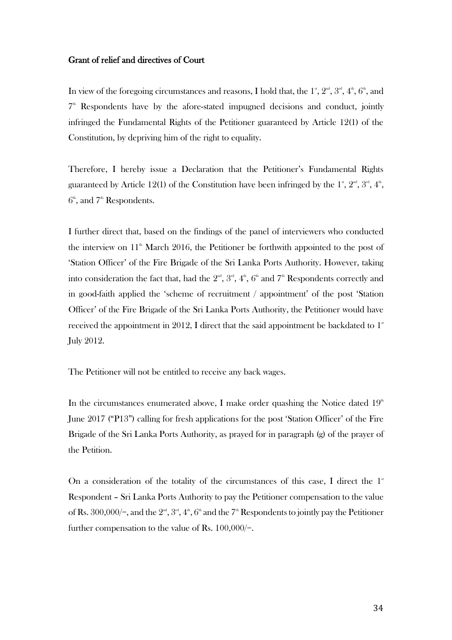### Grant of relief and directives of Court

In view of the foregoing circumstances and reasons, I hold that, the  $1^{\text{st}}, 2^{\text{nd}}, 3^{\text{rd}}, 4^{\text{th}}, 6^{\text{th}},$  and  $7<sup>th</sup>$  Respondents have by the afore-stated impugned decisions and conduct, jointly infringed the Fundamental Rights of the Petitioner guaranteed by Article 12(1) of the Constitution, by depriving him of the right to equality.

Therefore, I hereby issue a Declaration that the Petitioner's Fundamental Rights guaranteed by Article 12(1) of the Constitution have been infringed by the  $1^{\text{\tiny st}}, 2^{\text{\tiny nd}}, 3^{\text{\tiny rd}}, 4^{\text{\tiny th}},$  $6<sup>th</sup>$ , and  $7<sup>th</sup>$  Respondents.

I further direct that, based on the findings of the panel of interviewers who conducted the interview on  $11^{\text{th}}$  March 2016, the Petitioner be forthwith appointed to the post of 'Station Officer' of the Fire Brigade of the Sri Lanka Ports Authority. However, taking into consideration the fact that, had the  $2^{\mathsf{nd}}$ ,  $3^{\mathsf{rd}}, 4^{\mathsf{th}}, 6^{\mathsf{th}}$  and  $7^{\mathsf{th}}$  Respondents correctly and in good-faith applied the 'scheme of recruitment / appointment' of the post 'Station Officer' of the Fire Brigade of the Sri Lanka Ports Authority, the Petitioner would have received the appointment in 2012, I direct that the said appointment be backdated to  $1^\ast$ July 2012.

The Petitioner will not be entitled to receive any back wages.

In the circumstances enumerated above, I make order quashing the Notice dated  $19<sup>th</sup>$ June 2017 ("P13") calling for fresh applications for the post 'Station Officer' of the Fire Brigade of the Sri Lanka Ports Authority, as prayed for in paragraph (g) of the prayer of the Petition.

On a consideration of the totality of the circumstances of this case, I direct the  $1^*$ Respondent – Sri Lanka Ports Authority to pay the Petitioner compensation to the value of Rs. 300,000/=, and the  $2<sup>nd</sup>$ ,  $3<sup>rd</sup>$ ,  $4<sup>th</sup>$ ,  $6<sup>th</sup>$  and the  $7<sup>th</sup>$  Respondents to jointly pay the Petitioner further compensation to the value of Rs.  $100,000/$ =.